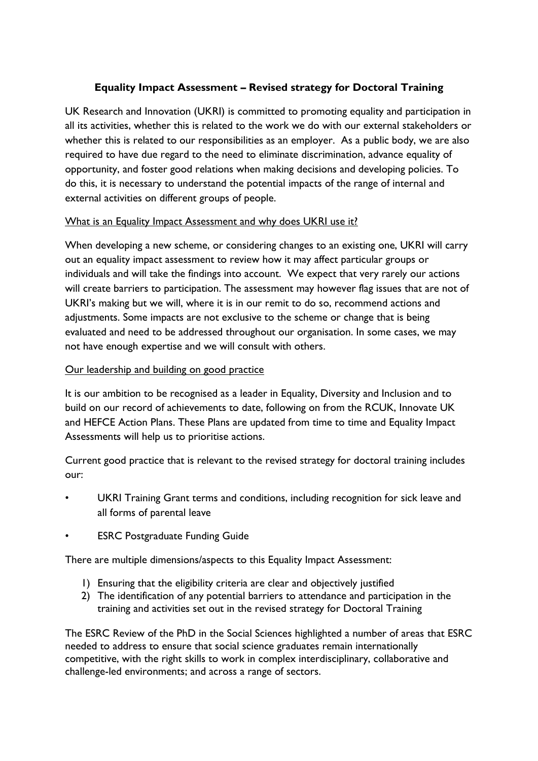## **Equality Impact Assessment – Revised strategy for Doctoral Training**

UK Research and Innovation (UKRI) is committed to promoting equality and participation in all its activities, whether this is related to the work we do with our external stakeholders or whether this is related to our responsibilities as an employer. As a public body, we are also required to have due regard to the need to eliminate discrimination, advance equality of opportunity, and foster good relations when making decisions and developing policies. To do this, it is necessary to understand the potential impacts of the range of internal and external activities on different groups of people.

#### What is an Equality Impact Assessment and why does UKRI use it?

When developing a new scheme, or considering changes to an existing one, UKRI will carry out an equality impact assessment to review how it may affect particular groups or individuals and will take the findings into account. We expect that very rarely our actions will create barriers to participation. The assessment may however flag issues that are not of UKRI's making but we will, where it is in our remit to do so, recommend actions and adjustments. Some impacts are not exclusive to the scheme or change that is being evaluated and need to be addressed throughout our organisation. In some cases, we may not have enough expertise and we will consult with others.

### Our leadership and building on good practice

It is our ambition to be recognised as a leader in Equality, Diversity and Inclusion and to build on our record of achievements to date, following on from the RCUK, Innovate UK and HEFCE Action Plans. These Plans are updated from time to time and Equality Impact Assessments will help us to prioritise actions.

Current good practice that is relevant to the revised strategy for doctoral training includes our:

- UKRI Training Grant terms and conditions, including recognition for sick leave and all forms of parental leave
- **ESRC Postgraduate Funding Guide**

There are multiple dimensions/aspects to this Equality Impact Assessment:

- 1) Ensuring that the eligibility criteria are clear and objectively justified
- 2) The identification of any potential barriers to attendance and participation in the training and activities set out in the revised strategy for Doctoral Training

The ESRC Review of the PhD in the Social Sciences highlighted a number of areas that ESRC needed to address to ensure that social science graduates remain internationally competitive, with the right skills to work in complex interdisciplinary, collaborative and challenge-led environments; and across a range of sectors.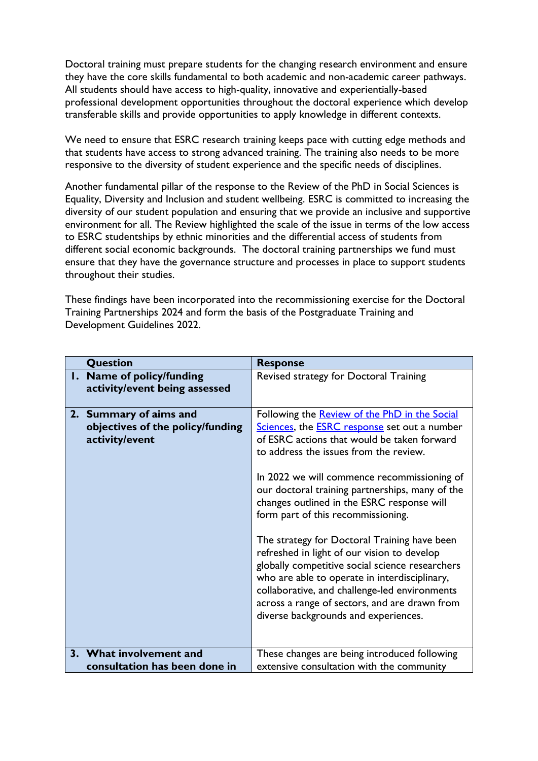Doctoral training must prepare students for the changing research environment and ensure they have the core skills fundamental to both academic and non-academic career pathways. All students should have access to high-quality, innovative and experientially-based professional development opportunities throughout the doctoral experience which develop transferable skills and provide opportunities to apply knowledge in different contexts.

We need to ensure that ESRC research training keeps pace with cutting edge methods and that students have access to strong advanced training. The training also needs to be more responsive to the diversity of student experience and the specific needs of disciplines.

Another fundamental pillar of the response to the Review of the PhD in Social Sciences is Equality, Diversity and Inclusion and student wellbeing. ESRC is committed to increasing the diversity of our student population and ensuring that we provide an inclusive and supportive environment for all. The Review highlighted the scale of the issue in terms of the low access to ESRC studentships by ethnic minorities and the differential access of students from different social economic backgrounds. The doctoral training partnerships we fund must ensure that they have the governance structure and processes in place to support students throughout their studies.

These findings have been incorporated into the recommissioning exercise for the Doctoral Training Partnerships 2024 and form the basis of the Postgraduate Training and Development Guidelines 2022.

| Question                                                                     | <b>Response</b>                                                                                                                                                                                                                                                                                                                                                                                                                                                                                                                                                                                                                                                                                                                         |
|------------------------------------------------------------------------------|-----------------------------------------------------------------------------------------------------------------------------------------------------------------------------------------------------------------------------------------------------------------------------------------------------------------------------------------------------------------------------------------------------------------------------------------------------------------------------------------------------------------------------------------------------------------------------------------------------------------------------------------------------------------------------------------------------------------------------------------|
| 1. Name of policy/funding<br>activity/event being assessed                   | Revised strategy for Doctoral Training                                                                                                                                                                                                                                                                                                                                                                                                                                                                                                                                                                                                                                                                                                  |
| 2. Summary of aims and<br>objectives of the policy/funding<br>activity/event | Following the <b>Review of the PhD in the Social</b><br>Sciences, the <b>ESRC</b> response set out a number<br>of ESRC actions that would be taken forward<br>to address the issues from the review.<br>In 2022 we will commence recommissioning of<br>our doctoral training partnerships, many of the<br>changes outlined in the ESRC response will<br>form part of this recommissioning.<br>The strategy for Doctoral Training have been<br>refreshed in light of our vision to develop<br>globally competitive social science researchers<br>who are able to operate in interdisciplinary,<br>collaborative, and challenge-led environments<br>across a range of sectors, and are drawn from<br>diverse backgrounds and experiences. |
| 3. What involvement and<br>consultation has been done in                     | These changes are being introduced following<br>extensive consultation with the community                                                                                                                                                                                                                                                                                                                                                                                                                                                                                                                                                                                                                                               |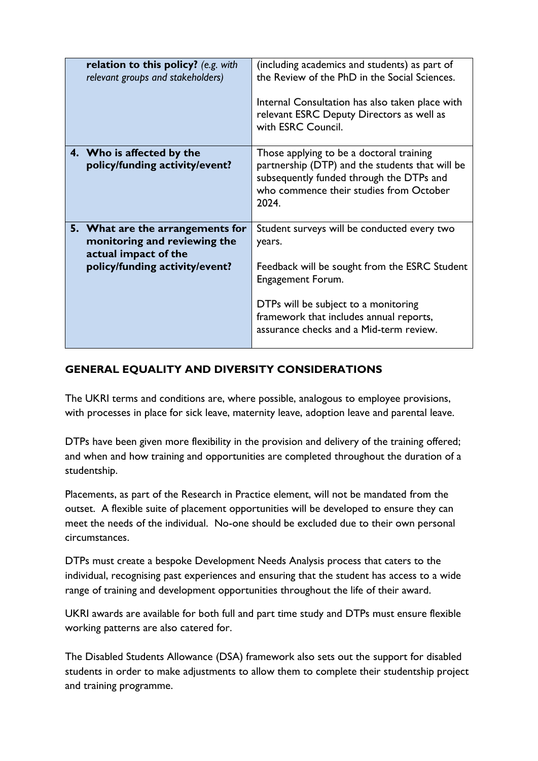| relation to this policy? (e.g. with<br>relevant groups and stakeholders)                 | (including academics and students) as part of<br>the Review of the PhD in the Social Sciences.                                                                                              |
|------------------------------------------------------------------------------------------|---------------------------------------------------------------------------------------------------------------------------------------------------------------------------------------------|
|                                                                                          | Internal Consultation has also taken place with<br>relevant ESRC Deputy Directors as well as<br>with ESRC Council.                                                                          |
| 4. Who is affected by the<br>policy/funding activity/event?                              | Those applying to be a doctoral training<br>partnership (DTP) and the students that will be<br>subsequently funded through the DTPs and<br>who commence their studies from October<br>2024. |
| 5. What are the arrangements for<br>monitoring and reviewing the<br>actual impact of the | Student surveys will be conducted every two<br>years.                                                                                                                                       |
| policy/funding activity/event?                                                           | Feedback will be sought from the ESRC Student<br>Engagement Forum.                                                                                                                          |
|                                                                                          | DTPs will be subject to a monitoring<br>framework that includes annual reports,<br>assurance checks and a Mid-term review.                                                                  |

# **GENERAL EQUALITY AND DIVERSITY CONSIDERATIONS**

The UKRI terms and conditions are, where possible, analogous to employee provisions, with processes in place for sick leave, maternity leave, adoption leave and parental leave.

DTPs have been given more flexibility in the provision and delivery of the training offered; and when and how training and opportunities are completed throughout the duration of a studentship.

Placements, as part of the Research in Practice element, will not be mandated from the outset. A flexible suite of placement opportunities will be developed to ensure they can meet the needs of the individual. No-one should be excluded due to their own personal circumstances.

DTPs must create a bespoke Development Needs Analysis process that caters to the individual, recognising past experiences and ensuring that the student has access to a wide range of training and development opportunities throughout the life of their award.

UKRI awards are available for both full and part time study and DTPs must ensure flexible working patterns are also catered for.

The Disabled Students Allowance (DSA) framework also sets out the support for disabled students in order to make adjustments to allow them to complete their studentship project and training programme.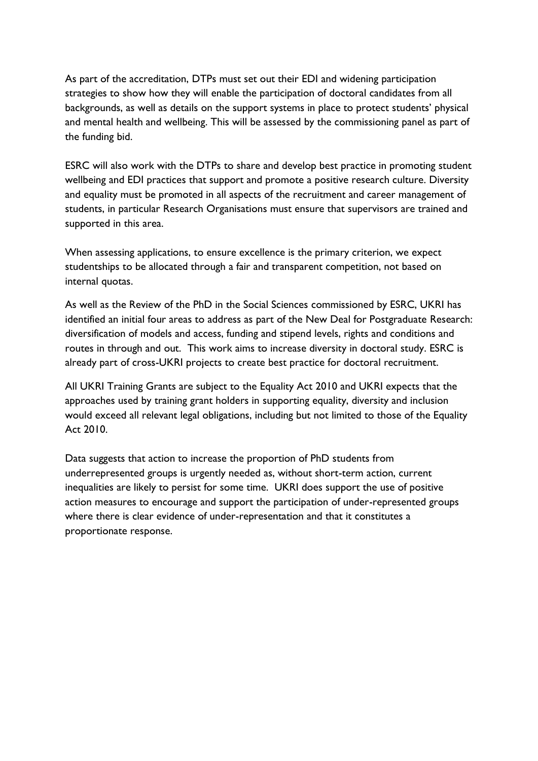As part of the accreditation, DTPs must set out their EDI and widening participation strategies to show how they will enable the participation of doctoral candidates from all backgrounds, as well as details on the support systems in place to protect students' physical and mental health and wellbeing. This will be assessed by the commissioning panel as part of the funding bid.

ESRC will also work with the DTPs to share and develop best practice in promoting student wellbeing and EDI practices that support and promote a positive research culture. Diversity and equality must be promoted in all aspects of the recruitment and career management of students, in particular Research Organisations must ensure that supervisors are trained and supported in this area.

When assessing applications, to ensure excellence is the primary criterion, we expect studentships to be allocated through a fair and transparent competition, not based on internal quotas.

As well as the Review of the PhD in the Social Sciences commissioned by ESRC, UKRI has identified an initial four areas to address as part of the New Deal for Postgraduate Research: diversification of models and access, funding and stipend levels, rights and conditions and routes in through and out. This work aims to increase diversity in doctoral study. ESRC is already part of cross-UKRI projects to create best practice for doctoral recruitment.

All UKRI Training Grants are subject to the Equality Act 2010 and UKRI expects that the approaches used by training grant holders in supporting equality, diversity and inclusion would exceed all relevant legal obligations, including but not limited to those of the Equality Act 2010.

Data suggests that action to increase the proportion of PhD students from underrepresented groups is urgently needed as, without short-term action, current inequalities are likely to persist for some time. UKRI does support the use of positive action measures to encourage and support the participation of under-represented groups where there is clear evidence of under-representation and that it constitutes a proportionate response.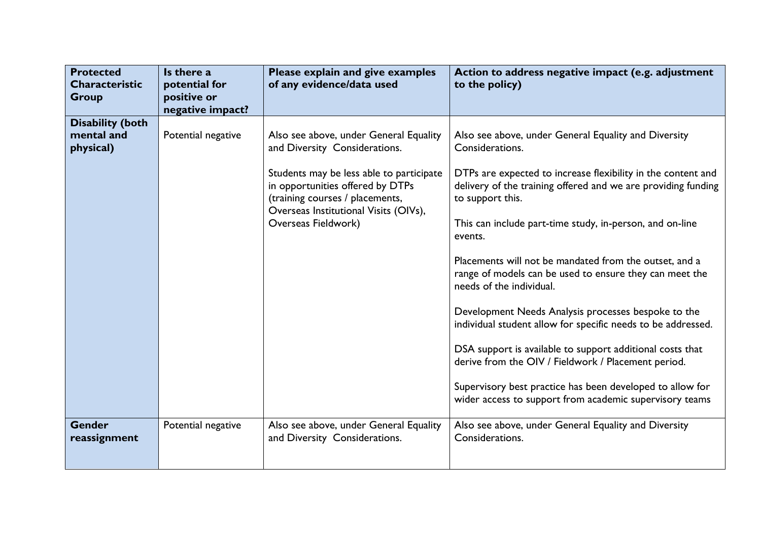| <b>Protected</b><br><b>Characteristic</b><br>Group | Is there a<br>potential for<br>positive or<br>negative impact? | Please explain and give examples<br>of any evidence/data used                                                                                                                                                                                              | Action to address negative impact (e.g. adjustment<br>to the policy)                                                                                                                                                                                                                                                                                                                                                                                                                                                                                                                                                                                                                                                                                                                                                    |
|----------------------------------------------------|----------------------------------------------------------------|------------------------------------------------------------------------------------------------------------------------------------------------------------------------------------------------------------------------------------------------------------|-------------------------------------------------------------------------------------------------------------------------------------------------------------------------------------------------------------------------------------------------------------------------------------------------------------------------------------------------------------------------------------------------------------------------------------------------------------------------------------------------------------------------------------------------------------------------------------------------------------------------------------------------------------------------------------------------------------------------------------------------------------------------------------------------------------------------|
| <b>Disability (both</b><br>mental and<br>physical) | Potential negative                                             | Also see above, under General Equality<br>and Diversity Considerations.<br>Students may be less able to participate<br>in opportunities offered by DTPs<br>(training courses / placements,<br>Overseas Institutional Visits (OIVs),<br>Overseas Fieldwork) | Also see above, under General Equality and Diversity<br>Considerations.<br>DTPs are expected to increase flexibility in the content and<br>delivery of the training offered and we are providing funding<br>to support this.<br>This can include part-time study, in-person, and on-line<br>events.<br>Placements will not be mandated from the outset, and a<br>range of models can be used to ensure they can meet the<br>needs of the individual.<br>Development Needs Analysis processes bespoke to the<br>individual student allow for specific needs to be addressed.<br>DSA support is available to support additional costs that<br>derive from the OIV / Fieldwork / Placement period.<br>Supervisory best practice has been developed to allow for<br>wider access to support from academic supervisory teams |
| <b>Gender</b><br>reassignment                      | Potential negative                                             | Also see above, under General Equality<br>and Diversity Considerations.                                                                                                                                                                                    | Also see above, under General Equality and Diversity<br>Considerations.                                                                                                                                                                                                                                                                                                                                                                                                                                                                                                                                                                                                                                                                                                                                                 |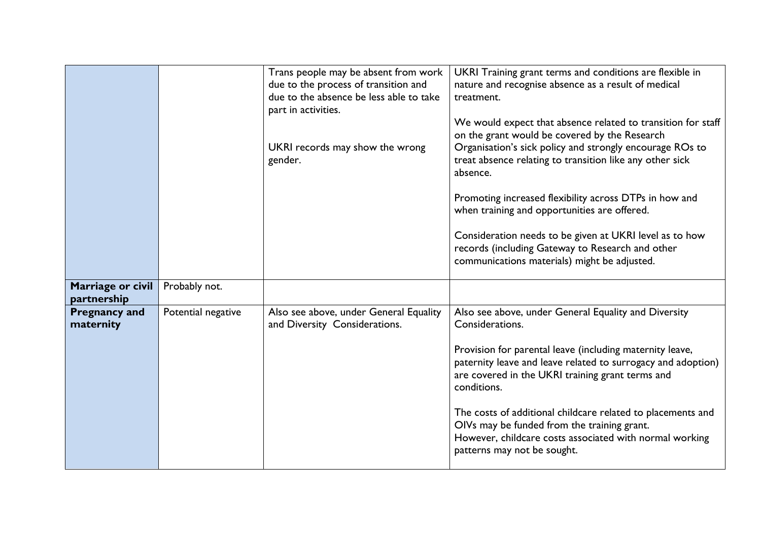|                                   |                    | Trans people may be absent from work<br>due to the process of transition and<br>due to the absence be less able to take<br>part in activities.<br>UKRI records may show the wrong<br>gender. | UKRI Training grant terms and conditions are flexible in<br>nature and recognise absence as a result of medical<br>treatment.<br>We would expect that absence related to transition for staff<br>on the grant would be covered by the Research<br>Organisation's sick policy and strongly encourage ROs to<br>treat absence relating to transition like any other sick<br>absence.<br>Promoting increased flexibility across DTPs in how and<br>when training and opportunities are offered.<br>Consideration needs to be given at UKRI level as to how<br>records (including Gateway to Research and other<br>communications materials) might be adjusted. |
|-----------------------------------|--------------------|----------------------------------------------------------------------------------------------------------------------------------------------------------------------------------------------|-------------------------------------------------------------------------------------------------------------------------------------------------------------------------------------------------------------------------------------------------------------------------------------------------------------------------------------------------------------------------------------------------------------------------------------------------------------------------------------------------------------------------------------------------------------------------------------------------------------------------------------------------------------|
| Marriage or civil<br>partnership  | Probably not.      |                                                                                                                                                                                              |                                                                                                                                                                                                                                                                                                                                                                                                                                                                                                                                                                                                                                                             |
| <b>Pregnancy and</b><br>maternity | Potential negative | Also see above, under General Equality<br>and Diversity Considerations.                                                                                                                      | Also see above, under General Equality and Diversity<br>Considerations.<br>Provision for parental leave (including maternity leave,<br>paternity leave and leave related to surrogacy and adoption)<br>are covered in the UKRI training grant terms and<br>conditions.                                                                                                                                                                                                                                                                                                                                                                                      |
|                                   |                    |                                                                                                                                                                                              | The costs of additional childcare related to placements and<br>OIVs may be funded from the training grant.<br>However, childcare costs associated with normal working<br>patterns may not be sought.                                                                                                                                                                                                                                                                                                                                                                                                                                                        |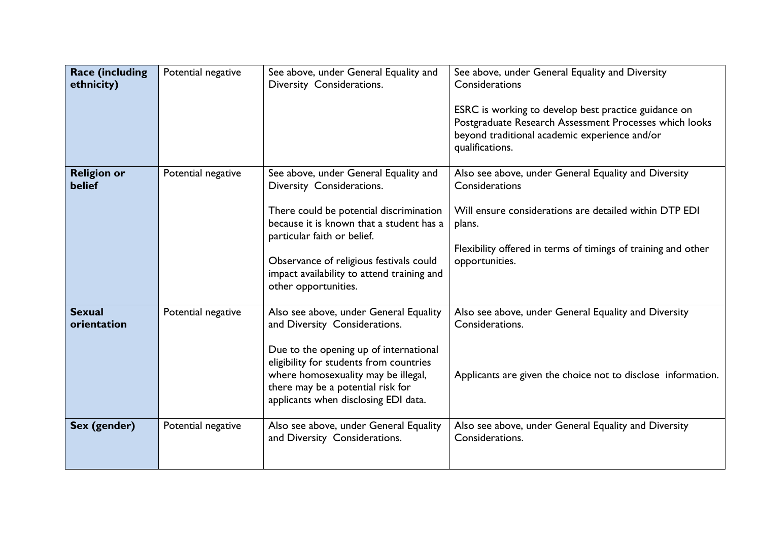| <b>Race (including</b><br>ethnicity) | Potential negative | See above, under General Equality and<br>Diversity Considerations.                                                                                                                                    | See above, under General Equality and Diversity<br>Considerations<br>ESRC is working to develop best practice guidance on<br>Postgraduate Research Assessment Processes which looks |
|--------------------------------------|--------------------|-------------------------------------------------------------------------------------------------------------------------------------------------------------------------------------------------------|-------------------------------------------------------------------------------------------------------------------------------------------------------------------------------------|
|                                      |                    |                                                                                                                                                                                                       | beyond traditional academic experience and/or<br>qualifications.                                                                                                                    |
| <b>Religion or</b><br><b>belief</b>  | Potential negative | See above, under General Equality and<br>Diversity Considerations.                                                                                                                                    | Also see above, under General Equality and Diversity<br>Considerations                                                                                                              |
|                                      |                    | There could be potential discrimination<br>because it is known that a student has a<br>particular faith or belief.                                                                                    | Will ensure considerations are detailed within DTP EDI<br>plans.                                                                                                                    |
|                                      |                    | Observance of religious festivals could<br>impact availability to attend training and<br>other opportunities.                                                                                         | Flexibility offered in terms of timings of training and other<br>opportunities.                                                                                                     |
| <b>Sexual</b><br>orientation         | Potential negative | Also see above, under General Equality<br>and Diversity Considerations.                                                                                                                               | Also see above, under General Equality and Diversity<br>Considerations.                                                                                                             |
|                                      |                    | Due to the opening up of international<br>eligibility for students from countries<br>where homosexuality may be illegal,<br>there may be a potential risk for<br>applicants when disclosing EDI data. | Applicants are given the choice not to disclose information.                                                                                                                        |
| Sex (gender)                         | Potential negative | Also see above, under General Equality<br>and Diversity Considerations.                                                                                                                               | Also see above, under General Equality and Diversity<br>Considerations.                                                                                                             |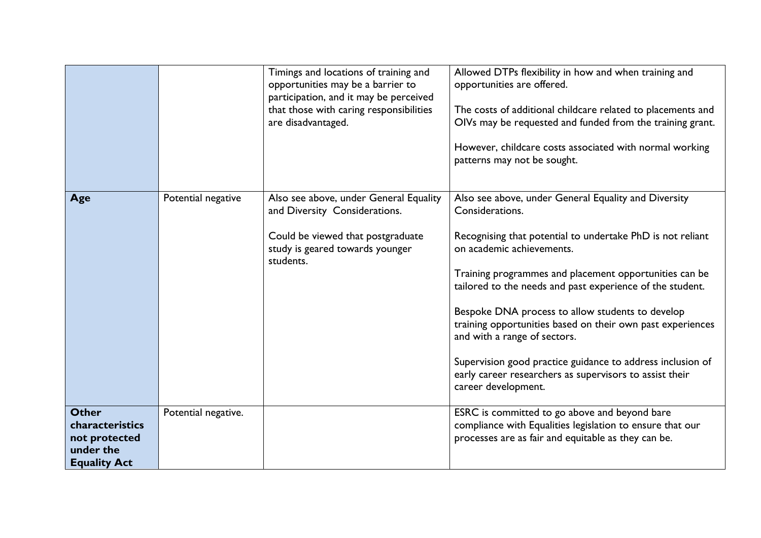|                                                                                      |                     | Timings and locations of training and<br>opportunities may be a barrier to<br>participation, and it may be perceived<br>that those with caring responsibilities<br>are disadvantaged. | Allowed DTPs flexibility in how and when training and<br>opportunities are offered.<br>The costs of additional childcare related to placements and<br>OIVs may be requested and funded from the training grant.<br>However, childcare costs associated with normal working<br>patterns may not be sought.                                                                                                                                                                                                                                                                                   |
|--------------------------------------------------------------------------------------|---------------------|---------------------------------------------------------------------------------------------------------------------------------------------------------------------------------------|---------------------------------------------------------------------------------------------------------------------------------------------------------------------------------------------------------------------------------------------------------------------------------------------------------------------------------------------------------------------------------------------------------------------------------------------------------------------------------------------------------------------------------------------------------------------------------------------|
| Age                                                                                  | Potential negative  | Also see above, under General Equality<br>and Diversity Considerations.<br>Could be viewed that postgraduate<br>study is geared towards younger<br>students.                          | Also see above, under General Equality and Diversity<br>Considerations.<br>Recognising that potential to undertake PhD is not reliant<br>on academic achievements.<br>Training programmes and placement opportunities can be<br>tailored to the needs and past experience of the student.<br>Bespoke DNA process to allow students to develop<br>training opportunities based on their own past experiences<br>and with a range of sectors.<br>Supervision good practice guidance to address inclusion of<br>early career researchers as supervisors to assist their<br>career development. |
| <b>Other</b><br>characteristics<br>not protected<br>under the<br><b>Equality Act</b> | Potential negative. |                                                                                                                                                                                       | ESRC is committed to go above and beyond bare<br>compliance with Equalities legislation to ensure that our<br>processes are as fair and equitable as they can be.                                                                                                                                                                                                                                                                                                                                                                                                                           |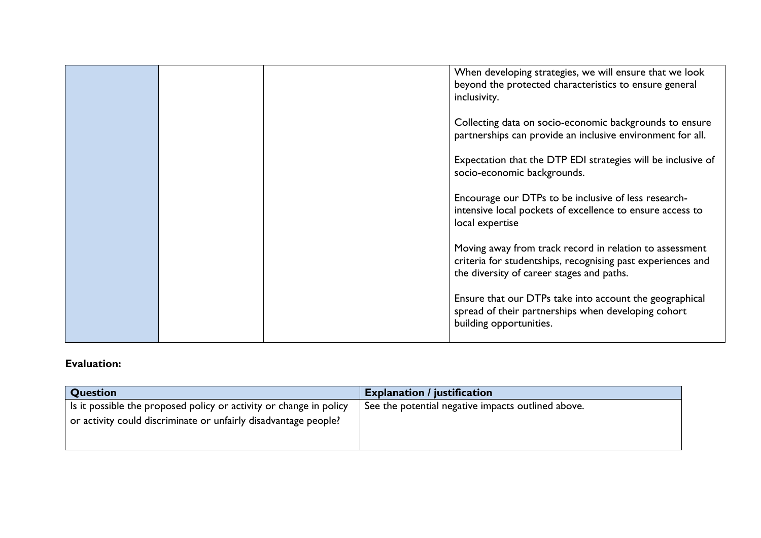|  | When developing strategies, we will ensure that we look<br>beyond the protected characteristics to ensure general<br>inclusivity.                                   |
|--|---------------------------------------------------------------------------------------------------------------------------------------------------------------------|
|  | Collecting data on socio-economic backgrounds to ensure<br>partnerships can provide an inclusive environment for all.                                               |
|  | Expectation that the DTP EDI strategies will be inclusive of<br>socio-economic backgrounds.                                                                         |
|  | Encourage our DTPs to be inclusive of less research-<br>intensive local pockets of excellence to ensure access to<br>local expertise                                |
|  | Moving away from track record in relation to assessment<br>criteria for studentships, recognising past experiences and<br>the diversity of career stages and paths. |
|  | Ensure that our DTPs take into account the geographical<br>spread of their partnerships when developing cohort<br>building opportunities.                           |
|  |                                                                                                                                                                     |

## **Evaluation:**

| <b>Question</b>                                                    | <b>Explanation / justification</b>                 |
|--------------------------------------------------------------------|----------------------------------------------------|
| Is it possible the proposed policy or activity or change in policy | See the potential negative impacts outlined above. |
| or activity could discriminate or unfairly disadvantage people?    |                                                    |
|                                                                    |                                                    |